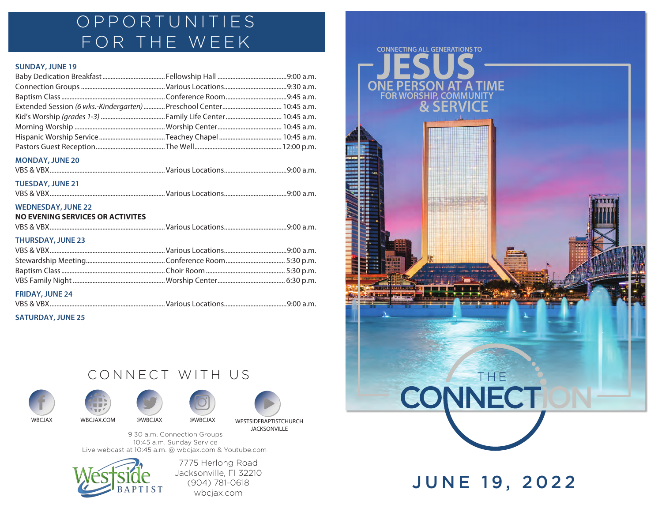## OPPORTUNITIES FOR THE WEEK

#### **SUNDAY, JUNE 19**

| Extended Session (6 wks.-Kindergarten)  Preschool Center  10:45 a.m. |  |
|----------------------------------------------------------------------|--|
|                                                                      |  |
|                                                                      |  |
|                                                                      |  |
|                                                                      |  |
| <b>MONDAY, JUNE 20</b>                                               |  |
|                                                                      |  |
| <b>TUESDAY, JUNE 21</b>                                              |  |
|                                                                      |  |
| <b>WEDNESDAY, JUNE 22</b>                                            |  |
| <b>NO EVENING SERVICES OR ACTIVITES</b>                              |  |
|                                                                      |  |
| <b>THURSDAY, JUNE 23</b>                                             |  |
|                                                                      |  |
|                                                                      |  |
|                                                                      |  |
|                                                                      |  |
| <b>FRIDAY, JUNE 24</b>                                               |  |
|                                                                      |  |

#### **SATURDAY, JUNE 25**

### CONNECT WITH US











9:30 a.m. Connection Groups 10:45 a.m. Sunday Service Live webcast at 10:45 a.m. @ wbcjax.com & Youtube.com



7775 Herlong Road Jacksonville, Fl 32210 (904) 781-0618 wbcjax.com